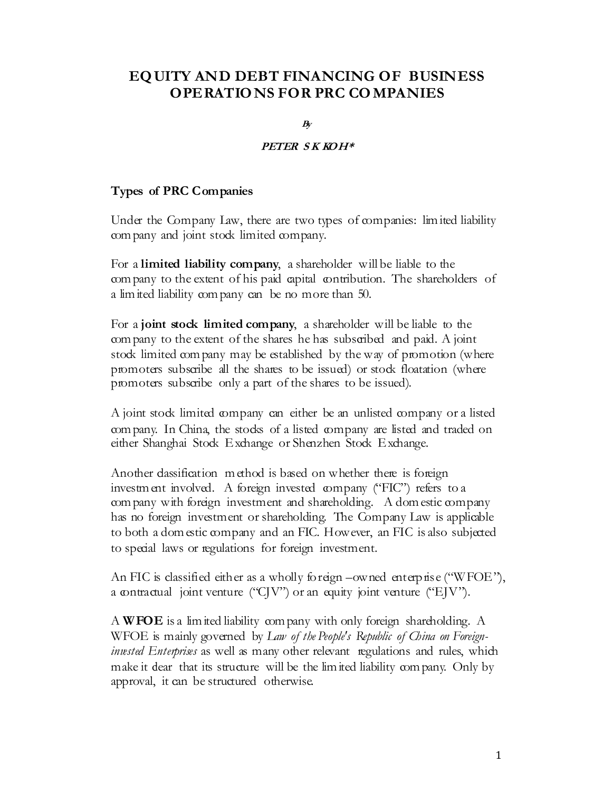# EQ UITY AND DEBT FINANCING OF BUSINESS OPERATIO NS FOR PRC CO MPANIES

 $B<sub>V</sub>$ 

#### PETER SK KOH\*

#### Types of PRC Companies

Under the Company Law, there are two types of companies: limited liability com pany and joint stock limited company.

For a limited liability company, a shareholder will be liable to the com pany to the extent of his paid capital contribution. The shareholders of a lim ited liability com pany can be no more than 50.

For a joint stock limited company, a shareholder will be liable to the com pany to the extent of the shares he has subscribed and paid. A joint stock limited company may be established by the way of promotion (where promoters subscribe all the shares to be issued) or stock floatation (where promoters subscribe only a part of the shares to be issued).

A joint stock limited company can either be an unlisted company or a listed com pany. In China, the stocks of a listed company are listed and traded on either Shanghai Stock Exchange or Shenzhen Stock Exchange.

Another dassification m ethod is based on whether there is foreign investm ent involved. A foreign invested company ("FIC") refers to a com pany with foreign investment and shareholding. A dom estic company has no foreign investment or shareholding. The Company Law is applicable to both a dom estic company and an FIC. However, an FIC is also subjected to special laws or regulations for foreign investment.

An FIC is classified either as a wholly foreign –owned enterprise ("WFOE"), a contractual joint venture ("CJV") or an equity joint venture ("EJV").

A WFOE is a lim ited liability com pany with only foreign shareholding. A WFOE is mainly governed by Law of the People's Republic of China on Foreign*invested Enterprises* as well as many other relevant regulations and rules, which make it dear that its structure will be the lim ited liability company. Only by approval, it can be structured otherwise.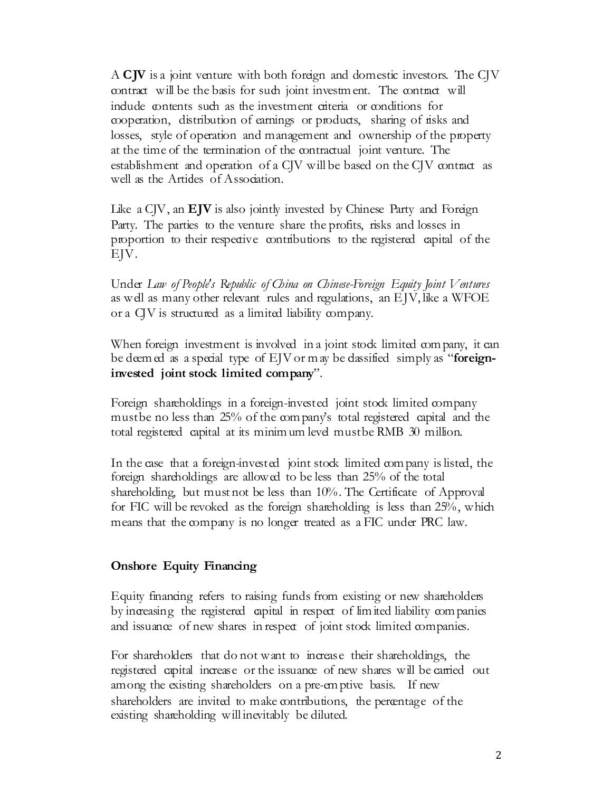A CJV is a joint venture with both foreign and domestic investors. The CJV contract will be the basis for such joint investment. The contract will include contents such as the investment cateria or conditions for cooperation, distribution of earnings or products, sharing of risks and losses, style of operation and management and ownership of the property at the time of the termination of the contractual joint venture. The establishment and operation of a CJV will be based on the CJV contract as well as the Artides of Association.

Like a  $C/V$ , an  $EJV$  is also jointly invested by Chinese Party and Foreign Party. The parties to the venture share the profits, risks and losses in proportion to their respective contributions to the registered capital of the EJV.

Under Law of People's Republic of China on Chinese-Foreign Equity Joint Ventures as well as many other relevant rules and regulations, an EJV, like a WFOE or a CJV is structured as a limited liability company.

When foreign investment is involved in a joint stock limited company, it can be deem ed as a special type of  $E/V$  or m ay be dassified simply as "foreigninvested joint stock limited company".

Foreign shareholdings in a foreign-invested joint stock limited company must be no less than 25% of the company's total registered capital and the total registered capital at its minim um level must be RMB 30 million.

In the case that a foreign-invested joint stock limited company is listed, the foreign shareholdings are allowed to be less than 25% of the total shareholding, but must not be less than 10%. The Certificate of Approval for FIC will be revoked as the foreign shareholding is less than 25%, which means that the company is no longer treated as a FIC under PRC law.

### Onshore Equity Financing

Equity financing refers to raising funds from existing or new shareholders by increasing the registered capital in respect of lim ited liability com panies and issuance of new shares in respect of joint stock limited companies.

For shareholders that do not want to increase their shareholdings, the registered capital increase or the issuance of new shares will be carried out among the existing shareholders on a pre-em ptive basis. If new shareholders are invited to make contributions, the percentage of the existing shareholding will inevitably be diluted.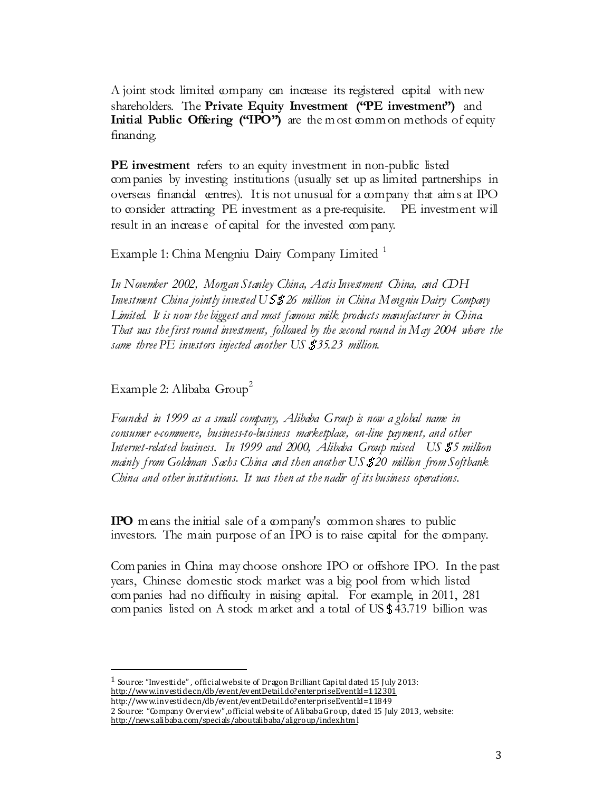A joint stock limited company can increase its registered capital with new shareholders. The Private Equity Investment ("PE investment") and Initial Public Offering ("IPO") are the most common methods of equity financing.

PE investment refers to an equity investment in non-public listed com panies by investing institutions (usually set up as limited partnerships in overseas financial centres). It is not unusual for a company that aim s at IPO to consider attracting PE investment as a pre-requisite. PE investment will result in an increase of capital for the invested com pany.

Example 1: China Mengniu Dairy Company Limited<sup>1</sup>

In November 2002, Morgan Stanley China, Actis Investment China, and CDH Investment China jointly invested US\$26 million in China Mengniu Dairy Company Limited. It is now the biggest and most famous milk products manufacturer in China. That was the first round investment, followed by the second round in May 2004 where the same three  $PE$  investors injected another  $US$   $35.23$  million.

Example 2: Alibaba  $Group<sup>2</sup>$ 

 $\overline{a}$ 

Founded in 1999 as a small company, Alibaba Group is now a global name in consumer e-commerce, business-to-business marketplace, on-line payment, and other Internet-related business. In 1999 and 2000, Alibaba Group raised US\$5 million mainly from Goldman Sachs China and then another US\$20 million from Softbank China and other institutions. It was then at the nadir of its business operations.

IPO m eans the initial sale of a company's common shares to public investors. The main purpose of an IPO is to raise capital for the company.

Com panies in China may choose onshore IPO or offshore IPO. In the past years, Chinese domestic stock market was a big pool from which listed com panies had no difficulty in raising capital. For example, in 2011, 281 com panies listed on A stock m arket and a total of US\$43.719 billion was

 $^1$  Source: "Investtide", official website of Dragon Brilliant Capital dated 15 July 2013: http://www.investide.cn/db/event/eventDetail.do?enterpriseEventId=112301 http://www.investide.cn/db/event/eventDetail.do?enterpriseEventId=11849 2 Source: "Company Overview" ,official website of Alibaba Group, dated 15 July 2013, website: http://news.alibaba.com/specials/aboutalibaba/aligroup/index.html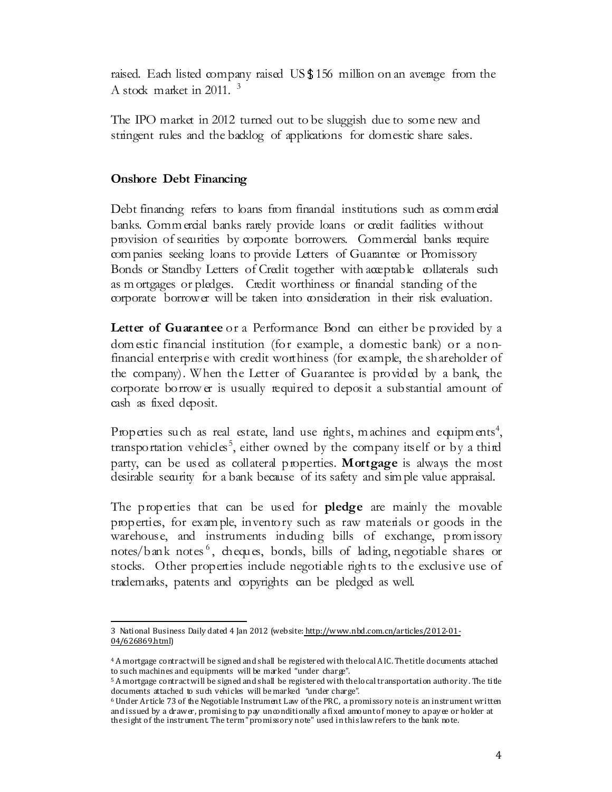raised. Each listed company raised US\$156 million on an average from the A stock market in  $2011<sup>3</sup>$ 

The IPO market in 2012 turned out to be sluggish due to some new and stringent rules and the backlog of applications for domestic share sales.

## Onshore Debt Financing

Debt financing refers to loans from financial institutions such as commercial banks. Commercial banks rarely provide loans or credit facilities without provision of securities by corporate borrowers. Commercial banks require com panies seeking loans to provide Letters of Guarantee or Promissory Bonds or Standby Letters of Credit together with acceptable collaterals such as m ortgages or pledges. Credit worthiness or financial standing of the corporate borrower will be taken into consideration in their risk evaluation.

Letter of Guarantee or a Performance Bond can either be provided by a dom estic financial institution (for example, a domestic bank) or a nonfinancial enterprise with credit worthiness (for example, the shareholder of the company). When the Letter of Guarantee is provided by a bank, the corporate borrow er is usually required to deposit a substantial amount of cash as fixed deposit.

Properties such as real estate, land use rights, machines and equipments<sup>4</sup>, transportation vehicles<sup>5</sup>, either owned by the company itself or by a third party, can be used as collateral properties. Mortgage is always the most desirable security for a bank because of its safety and simple value appraisal.

The properties that can be used for **pledge** are mainly the movable properties, for exam ple, inventory such as raw materials or goods in the warehouse, and instruments including bills of exchange, promissory notes/bank notes<sup>6</sup>, cheques, bonds, bills of lading, negotiable shares or stocks. Other properties include negotiable rights to the exclusive use of trademarks, patents and copyrights can be pledged as well.

 $\overline{a}$ 3 National Business Daily dated 4 Jan 2012 (website: http://www.nbd.com.cn/articles/2012-01- 04/626869.html)

<sup>4</sup> A mortgage contract will be signed and shall be registered with the local AIC. The title documents attached to such machines and equipments will be marked "under charge".

<sup>5</sup> A mortgage contract will be signed and shall be registered with the local transportation authority. The title documents attached to such vehicles will be marked "under charge".

<sup>6</sup> Under Article 73 of the Negotiable Instrument Law of the PRC, a promissory note is an instrument written and issued by a drawer, promising to pay unconditionally a fixed amount of money to a payee or holder at the sight of the instrument. The term "promissory note" used in this law refers to the bank note.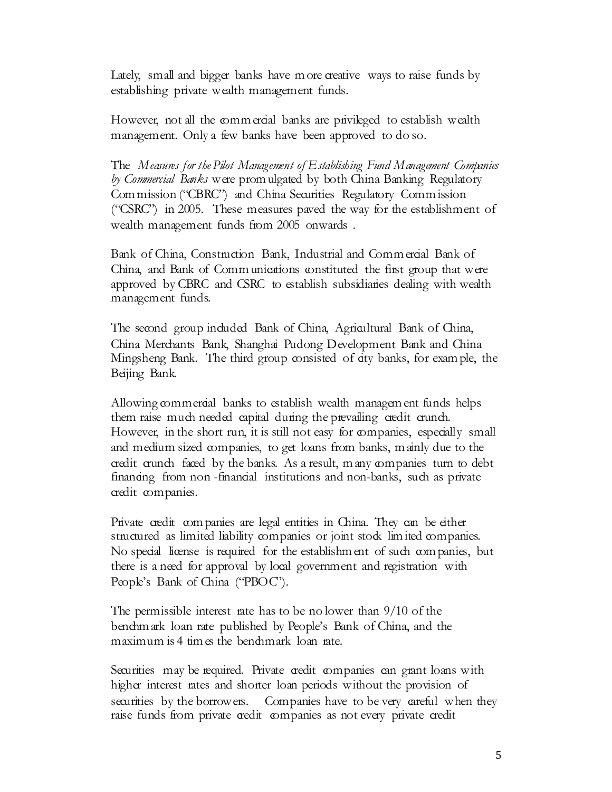Lately, small and bigger banks have m ore creative ways to raise funds by establishing private wealth management funds.

However, not all the commercial banks are privileged to establish wealth management. Only a few banks have been approved to do so.

The Measures for the Pilot Management of Establishing Fund Management Companies by Commercial Banks were prom ulgated by both China Banking Regulatory Com mission ("CBRC") and China Securities Regulatory Comm ission ("CSRC") in 2005. These measures paved the way for the establishment of wealth management funds from 2005 onwards .

Bank of China, Construction Bank, Industrial and Commercial Bank of China, and Bank of Comm unications constituted the first group that were approved by CBRC and CSRC to establish subsidiaries dealing with wealth management funds.

The second group included Bank of China, Agricultural Bank of China, China Merchants Bank, Shanghai Pudong Development Bank and China Mingsheng Bank. The third group consisted of city banks, for exam ple, the Beijing Bank.

Allowing commercial banks to establish wealth managem ent funds helps them raise much needed capital during the prevailing credit crunch. However, in the short run, it is still not easy for companies, especially small and medium sized companies, to get loans from banks, m ainly due to the credit crunch faced by the banks. As a result, m any companies turn to debt financing from non-financial institutions and non-banks, such as private credit companies.

Private credit com panies are legal entities in China. They can be either structured as limited liability companies or joint stock limited companies. No special license is required for the establishm ent of such com panies, but there is a need for approval by local government and registration with People's Bank of China ("PBOC").

The permissible interest rate has to be no lower than 9/10 of the bendim ark loan rate published by People's Bank of China, and the maximum is 4 times the bend mark loan rate.

Securities may be required. Private credit companies can grant loans with higher interest rates and shorter loan periods without the provision of securities by the borrowers. Companies have to be very careful when they raise funds from private credit companies as not every private credit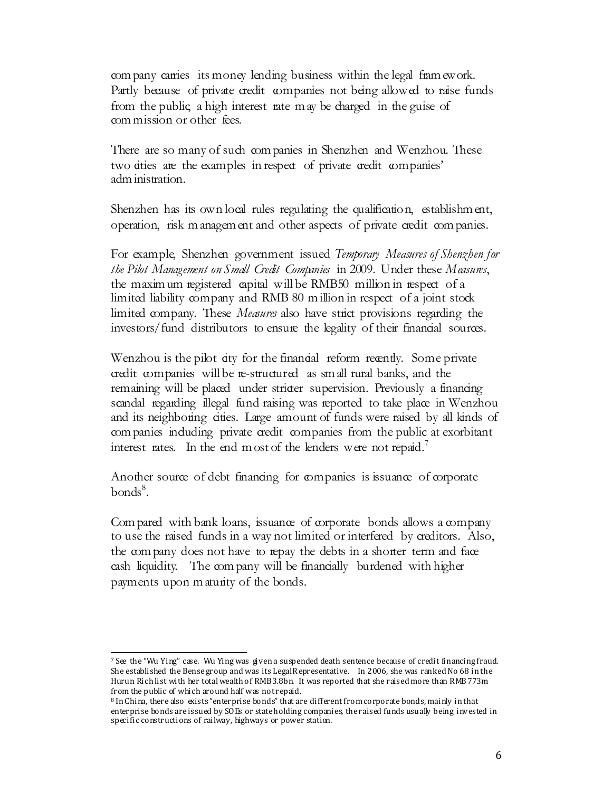com pany carries its money lending business within the legal fram ework. Partly because of private credit companies not being allowed to raise funds from the public, a high interest rate m ay be charged in the guise of com mission or other fees.

There are so many of such companies in Shenzhen and Wenzhou. These two cities are the examples in respect of private credit companies' adm inistration.

Shenzhen has its own local rules regulating the qualification, establishm ent, operation, risk m anagem ent and other aspects of private credit com panies.

For example, Shenzhen government issued Temporary Measures of Shenzhen for the Pilot Management on Small Credit Companies in 2009. Under these Measures, the maxim um registered capital will be RMB50 million in respect of a limited liability company and RMB 80 million in respect of a joint stock limited company. These *Measures* also have strict provisions regarding the investors/fund distributors to ensure the legality of their financial sources.

Wenzhou is the pilot city for the financial reform recently. Some private credit companies will be re-structured as sm all rural banks, and the remaining will be placed under stricter supervision. Previously a financing scandal regarding illegal fund raising was reported to take place in Wenzhou and its neighboring cities. Large amount of funds were raised by all kinds of com panies including private credit companies from the public at exorbitant interest rates. In the end m ost of the lenders were not repaid.<sup>7</sup>

Another source of debt financing for companies is issuance of corporate  $bonds<sup>8</sup>$ .

Com pared with bank loans, issuance of corporate bonds allows a company to use the raised funds in a way not limited or interfered by creditors. Also, the com pany does not have to repay the debts in a shorter term and face cash liquidity. The company will be financially burdened with higher payments upon m aturity of the bonds.

l  $^7$  See the "Wu Ying" case. Wu Ying was given a suspended death sentence because of credit financing fraud. She established the Bense group and was its Legal Representative. In 2006, she was ranked No 68 in the Hurun Rich list with her total wealth of RMB3.8bn. It was reported that she raised more than RMB773m from the public of which around half was not repaid.

<sup>8</sup> In China, there also exists "enterprise bonds" that are different from corporate bonds, mainly in that enterprise bonds are issued by SOEs or state holding companies, the raised funds usually being invested in specific constructions of railway, highways or power station.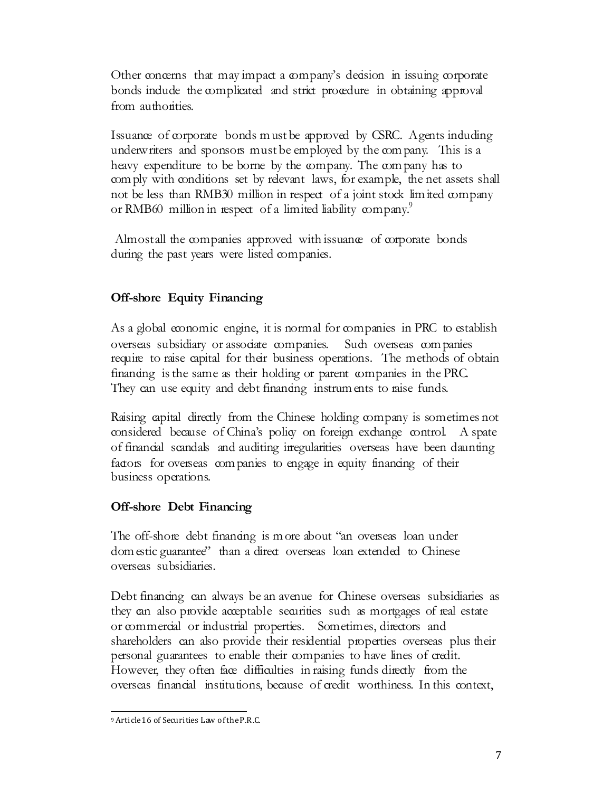Other concerns that may impact a company's decision in issuing corporate bonds indude the complicated and strict procedure in obtaining approval from authorities.

Issuance of corporate bonds m ust be approved by CSRC. Agents induding underwriters and sponsors must be employed by the company. This is a heavy expenditure to be borne by the company. The company has to com ply with conditions set by relevant laws, for example, the net assets shall not be less than RMB30 million in respect of a joint stock limited company or RMB60 million in respect of a limited liability company.<sup>9</sup>

Almostall the companies approved with issuance of corporate bonds during the past years were listed companies.

# Off-shore Equity Financing

As a global economic engine, it is normal for companies in PRC to establish overseas subsidiary or associate companies. Such overseas com panies require to raise capital for their business operations. The methods of obtain financing is the same as their holding or parent companies in the PRC. They can use equity and debt finanting instrum ents to raise funds.

Raising capital directly from the Chinese holding company is sometimes not considered because of China's policy on foreign exchange control. A spate of financial scandals and auditing irregularities overseas have been daunting factors for overseas com panies to engage in equity financing of their business operations.

## Off-shore Debt Financing

The off-shore debt finanting is m ore about "an overseas loan under dom estic guarantee" than a direct overseas loan extended to Chinese overseas subsidiaries.

Debt financing can always be an avenue for Chinese overseas subsidiaries as they can also provide acceptable securities such as mortgages of real estate or commercial or industrial properties. Sometimes, directors and shareholders can also provide their residential properties overseas plus their personal guarantees to enable their companies to have lines of credit. However, they often face difficulties in raising funds directly from the overseas financial institutions, because of credit worthiness. In this context,

 $\overline{a}$ 9 Article 16 of Securities Law of the P.R.C.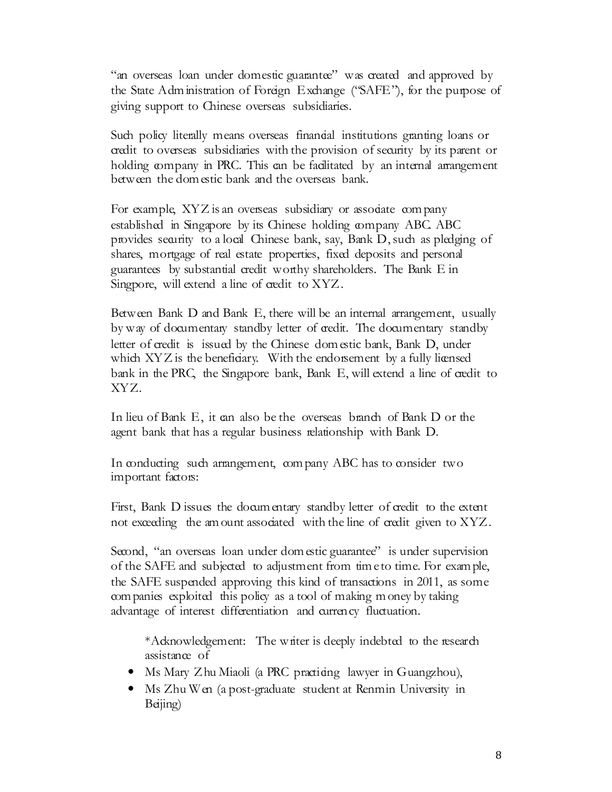"an overseas loan under domestic guarantee" was created and approved by the State Adm inistration of Foreign Exchange ("SAFE"), for the purpose of giving support to Chinese overseas subsidiaries.

Such policy literally means overseas financial institutions granting loans or credit to overseas subsidiaries with the provision of security by its parent or holding company in PRC. This can be facilitated by an internal arrangement between the dom estic bank and the overseas bank.

For example, XYZ is an overseas subsidiary or associate company established in Singapore by its Chinese holding company ABC. ABC provides security to a local Chinese bank, say, Bank D, such as pledging of shares, mortgage of real estate properties, fixed deposits and personal guarantees by substantial credit worthy shareholders. The Bank E in Singpore, will extend a line of credit to XYZ.

Between Bank D and Bank E, there will be an internal arrangement, usually by way of documentary standby letter of credit. The documentary standby letter of credit is issued by the Chinese dom estic bank, Bank D, under which  $XYZ$  is the beneficiary. With the endorsement by a fully licensed bank in the PRC, the Singapore bank, Bank E, will extend a line of credit to XYZ.

In lieu of Bank E, it can also be the overseas branch of Bank D or the agent bank that has a regular business relationship with Bank D.

In conducting such arrangement, company ABC has to consider two important factors:

First, Bank D issues the docum entary standby letter of credit to the extent not exceeding the am ount associated with the line of credit given to XYZ.

Second, "an overseas loan under dom estic guarantee" is under supervision of the SAFE and subjected to adjustment from tim e to time. For exam ple, the SAFE suspended approving this kind of transactions in 2011, as some com panies exploited this policy as a tool of making m oney by taking advantage of interest differentiation and currency fluctuation.

\*Acknowledgement: The writer is deeply indebted to the research assistance of

- Ms Mary Zhu Miaoli (a PRC practiting lawyer in Guangzhou),
- Ms Zhu Wen (a post-graduate student at Renmin University in Beijing)